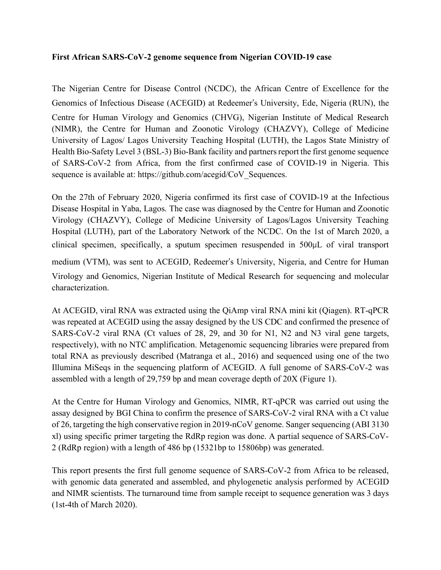# **First African SARS-CoV-2 genome sequence from Nigerian COVID-19 case**

The Nigerian Centre for Disease Control (NCDC), the African Centre of Excellence for the Genomics of Infectious Disease (ACEGID) at Redeemer's University, Ede, Nigeria (RUN), the Centre for Human Virology and Genomics (CHVG), Nigerian Institute of Medical Research (NIMR), the Centre for Human and Zoonotic Virology (CHAZVY), College of Medicine University of Lagos/ Lagos University Teaching Hospital (LUTH), the Lagos State Ministry of Health Bio-Safety Level 3 (BSL-3) Bio-Bank facility and partners report the first genome sequence of SARS-CoV-2 from Africa, from the first confirmed case of COVID-19 in Nigeria. This sequence is available at: https://github.com/acegid/CoV\_Sequences.

On the 27th of February 2020, Nigeria confirmed its first case of COVID-19 at the Infectious Disease Hospital in Yaba, Lagos. The case was diagnosed by the Centre for Human and Zoonotic Virology (CHAZVY), College of Medicine University of Lagos/Lagos University Teaching Hospital (LUTH), part of the Laboratory Network of the NCDC. On the 1st of March 2020, a clinical specimen, specifically, a sputum specimen resuspended in 500µL of viral transport medium (VTM), was sent to ACEGID, Redeemer's University, Nigeria, and Centre for Human Virology and Genomics, Nigerian Institute of Medical Research for sequencing and molecular characterization.

At ACEGID, viral RNA was extracted using the QiAmp viral RNA mini kit (Qiagen). RT-qPCR was repeated at ACEGID using the assay designed by the US CDC and confirmed the presence of SARS-CoV-2 viral RNA (Ct values of 28, 29, and 30 for N1, N2 and N3 viral gene targets, respectively), with no NTC amplification. Metagenomic sequencing libraries were prepared from total RNA as previously described (Matranga et al., 2016) and sequenced using one of the two Illumina MiSeqs in the sequencing platform of ACEGID. A full genome of SARS-CoV-2 was assembled with a length of 29,759 bp and mean coverage depth of 20X (Figure 1).

At the Centre for Human Virology and Genomics, NIMR, RT-qPCR was carried out using the assay designed by BGI China to confirm the presence of SARS-CoV-2 viral RNA with a Ct value of 26, targeting the high conservative region in 2019-nCoV genome. Sanger sequencing (ABI 3130 xl) using specific primer targeting the RdRp region was done. A partial sequence of SARS-CoV-2 (RdRp region) with a length of 486 bp (15321bp to 15806bp) was generated.

This report presents the first full genome sequence of SARS-CoV-2 from Africa to be released, with genomic data generated and assembled, and phylogenetic analysis performed by ACEGID and NIMR scientists. The turnaround time from sample receipt to sequence generation was 3 days (1st-4th of March 2020).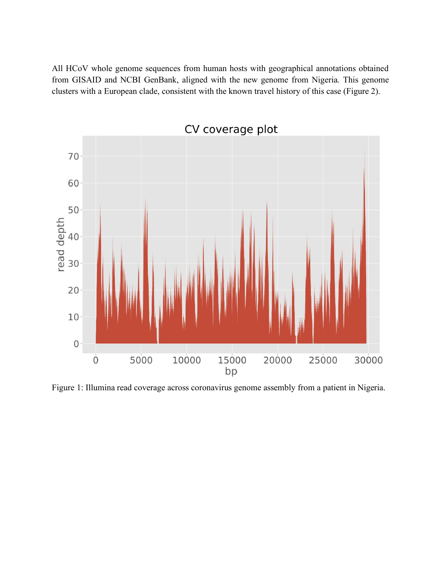All HCoV whole genome sequences from human hosts with geographical annotations obtained from GISAID and NCBI GenBank, aligned with the new genome from Nigeria. This genome clusters with a European clade, consistent with the known travel history of this case (Figure 2).



Figure 1: Illumina read coverage across coronavirus genome assembly from a patient in Nigeria.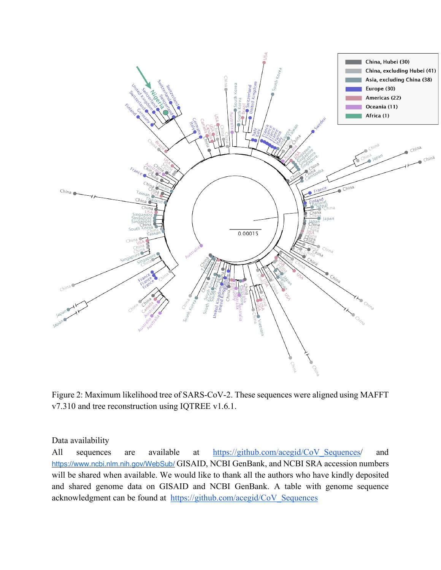

Figure 2: Maximum likelihood tree of SARS-CoV-2. These sequences were aligned using MAFFT v7.310 and tree reconstruction using IQTREE v1.6.1.

## Data availability

All sequences are available at https://github.com/acegid/CoV\_Sequences/ and https://www.ncbi.nlm.nih.gov/WebSub/ GISAID, NCBI GenBank, and NCBI SRA accession numbers will be shared when available. We would like to thank all the authors who have kindly deposited and shared genome data on GISAID and NCBI GenBank. A table with genome sequence acknowledgment can be found at https://github.com/acegid/CoV\_Sequences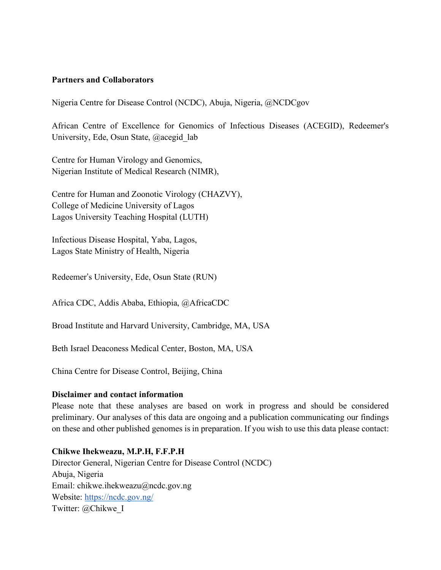## **Partners and Collaborators**

Nigeria Centre for Disease Control (NCDC), Abuja, Nigeria, @NCDCgov

African Centre of Excellence for Genomics of Infectious Diseases (ACEGID), Redeemer's University, Ede, Osun State, @acegid\_lab

Centre for Human Virology and Genomics, Nigerian Institute of Medical Research (NIMR),

Centre for Human and Zoonotic Virology (CHAZVY), College of Medicine University of Lagos Lagos University Teaching Hospital (LUTH)

Infectious Disease Hospital, Yaba, Lagos, Lagos State Ministry of Health, Nigeria

Redeemer's University, Ede, Osun State (RUN)

Africa CDC, Addis Ababa, Ethiopia, @AfricaCDC

Broad Institute and Harvard University, Cambridge, MA, USA

Beth Israel Deaconess Medical Center, Boston, MA, USA

China Centre for Disease Control, Beijing, China

#### **Disclaimer and contact information**

Please note that these analyses are based on work in progress and should be considered preliminary. Our analyses of this data are ongoing and a publication communicating our findings on these and other published genomes is in preparation. If you wish to use this data please contact:

## **Chikwe Ihekweazu, M.P.H, F.F.P.H**

Director General, Nigerian Centre for Disease Control (NCDC) Abuja, Nigeria Email: chikwe.ihekweazu@ncdc.gov.ng Website: https://ncdc.gov.ng/ Twitter: @Chikwe\_I